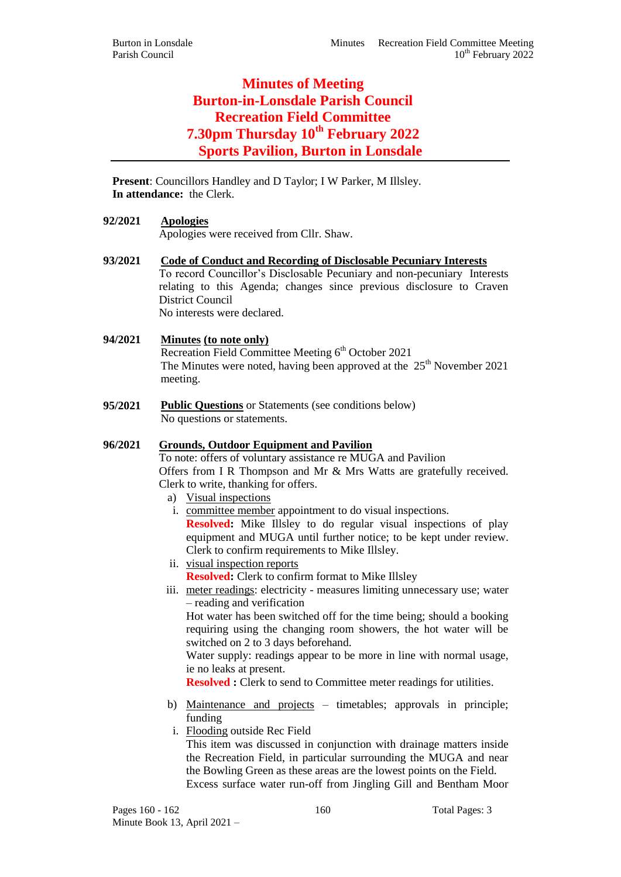# **Minutes of Meeting Burton-in-Lonsdale Parish Council Recreation Field Committee 7.30pm Thursday 10th February 2022 Sports Pavilion, Burton in Lonsdale**

**Present**: Councillors Handley and D Taylor; I W Parker, M Illsley. **In attendance:** the Clerk.

# **92/2021 Apologies**

Apologies were received from Cllr. Shaw.

**93/2021 Code of Conduct and Recording of Disclosable Pecuniary Interests** To record Councillor's Disclosable Pecuniary and non-pecuniary Interests relating to this Agenda; changes since previous disclosure to Craven District Council No interests were declared.

# **94/2021 Minutes (to note only)**

Recreation Field Committee Meeting  $6<sup>th</sup>$  October 2021 The Minutes were noted, having been approved at the  $25<sup>th</sup>$  November 2021 meeting.

**95/2021 Public Questions** or Statements (see conditions below) No questions or statements.

# **96/2021 Grounds, Outdoor Equipment and Pavilion**

To note: offers of voluntary assistance re MUGA and Pavilion Offers from I R Thompson and Mr & Mrs Watts are gratefully received. Clerk to write, thanking for offers.

- a) Visual inspections
- i. committee member appointment to do visual inspections. **Resolved:** Mike Illsley to do regular visual inspections of play equipment and MUGA until further notice; to be kept under review. Clerk to confirm requirements to Mike Illsley.
- ii. visual inspection reports **Resolved:** Clerk to confirm format to Mike Illsley
- iii. meter readings: electricity measures limiting unnecessary use; water – reading and verification

Hot water has been switched off for the time being; should a booking requiring using the changing room showers, the hot water will be switched on 2 to 3 days beforehand.

Water supply: readings appear to be more in line with normal usage, ie no leaks at present.

**Resolved** : Clerk to send to Committee meter readings for utilities.

- b) Maintenance and projects timetables; approvals in principle; funding
- i. Flooding outside Rec Field This item was discussed in conjunction with drainage matters inside the Recreation Field, in particular surrounding the MUGA and near the Bowling Green as these areas are the lowest points on the Field. Excess surface water run-off from Jingling Gill and Bentham Moor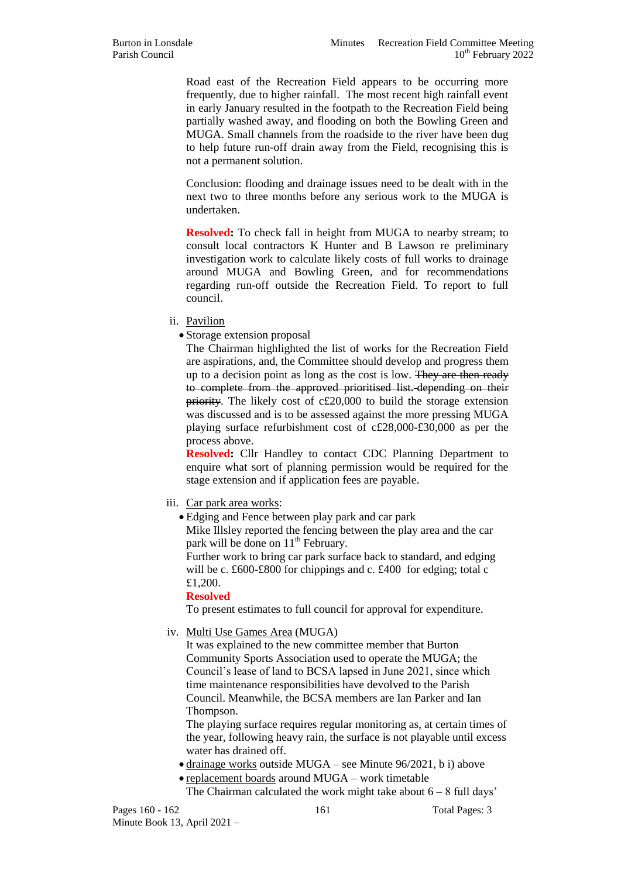Road east of the Recreation Field appears to be occurring more frequently, due to higher rainfall. The most recent high rainfall event in early January resulted in the footpath to the Recreation Field being partially washed away, and flooding on both the Bowling Green and MUGA. Small channels from the roadside to the river have been dug to help future run-off drain away from the Field, recognising this is not a permanent solution.

Conclusion: flooding and drainage issues need to be dealt with in the next two to three months before any serious work to the MUGA is undertaken.

**Resolved:** To check fall in height from MUGA to nearby stream; to consult local contractors K Hunter and B Lawson re preliminary investigation work to calculate likely costs of full works to drainage around MUGA and Bowling Green, and for recommendations regarding run-off outside the Recreation Field. To report to full council.

ii. Pavilion

Storage extension proposal

The Chairman highlighted the list of works for the Recreation Field are aspirations, and, the Committee should develop and progress them up to a decision point as long as the cost is low. They are then ready to complete from the approved prioritised list. depending on their priority. The likely cost of c£20,000 to build the storage extension was discussed and is to be assessed against the more pressing MUGA playing surface refurbishment cost of c£28,000-£30,000 as per the process above.

**Resolved:** Cllr Handley to contact CDC Planning Department to enquire what sort of planning permission would be required for the stage extension and if application fees are payable.

# iii. Car park area works:

Edging and Fence between play park and car park

Mike Illsley reported the fencing between the play area and the car park will be done on  $11<sup>th</sup>$  February.

Further work to bring car park surface back to standard, and edging will be c. £600-£800 for chippings and c. £400 for edging; total c £1,200.

#### **Resolved**

To present estimates to full council for approval for expenditure.

# iv. Multi Use Games Area (MUGA)

It was explained to the new committee member that Burton Community Sports Association used to operate the MUGA; the Council's lease of land to BCSA lapsed in June 2021, since which time maintenance responsibilities have devolved to the Parish Council. Meanwhile, the BCSA members are Ian Parker and Ian Thompson.

The playing surface requires regular monitoring as, at certain times of the year, following heavy rain, the surface is not playable until excess water has drained off.

- drainage works outside MUGA see Minute 96/2021, b i) above
- replacement boards around MUGA work timetable

The Chairman calculated the work might take about  $6 - 8$  full days'